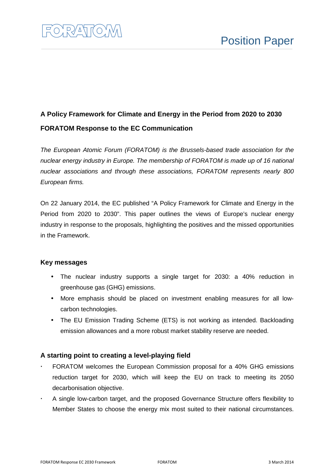

# **A Policy Framework for Climate and Energy in the Period from 2020 to 2030 FORATOM Response to the EC Communication**

The European Atomic Forum (FORATOM) is the Brussels-based trade association for the nuclear energy industry in Europe. The membership of FORATOM is made up of 16 national nuclear associations and through these associations, FORATOM represents nearly 800 European firms.

On 22 January 2014, the EC published "A Policy Framework for Climate and Energy in the Period from 2020 to 2030". This paper outlines the views of Europe's nuclear energy industry in response to the proposals, highlighting the positives and the missed opportunities in the Framework.

### **Key messages**

- The nuclear industry supports a single target for 2030: a 40% reduction in greenhouse gas (GHG) emissions.
- More emphasis should be placed on investment enabling measures for all lowcarbon technologies.
- The EU Emission Trading Scheme (ETS) is not working as intended. Backloading emission allowances and a more robust market stability reserve are needed.

### **A starting point to creating a level-playing field**

- FORATOM welcomes the European Commission proposal for a 40% GHG emissions reduction target for 2030, which will keep the EU on track to meeting its 2050 decarbonisation objective.
- A single low-carbon target, and the proposed Governance Structure offers flexibility to Member States to choose the energy mix most suited to their national circumstances.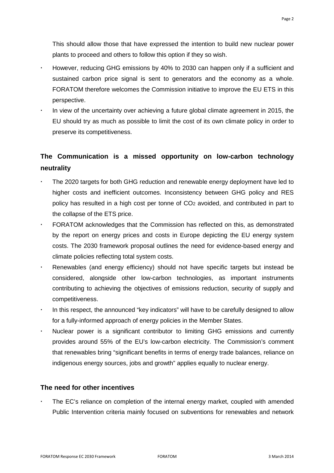This should allow those that have expressed the intention to build new nuclear power plants to proceed and others to follow this option if they so wish.

- However, reducing GHG emissions by 40% to 2030 can happen only if a sufficient and sustained carbon price signal is sent to generators and the economy as a whole. FORATOM therefore welcomes the Commission initiative to improve the EU ETS in this perspective.
- In view of the uncertainty over achieving a future global climate agreement in 2015, the EU should try as much as possible to limit the cost of its own climate policy in order to preserve its competitiveness.

## **The Communication is a missed opportunity on low-carbon technology neutrality**

- The 2020 targets for both GHG reduction and renewable energy deployment have led to higher costs and inefficient outcomes. Inconsistency between GHG policy and RES policy has resulted in a high cost per tonne of CO2 avoided, and contributed in part to the collapse of the ETS price.
- FORATOM acknowledges that the Commission has reflected on this, as demonstrated by the report on energy prices and costs in Europe depicting the EU energy system costs. The 2030 framework proposal outlines the need for evidence-based energy and climate policies reflecting total system costs.
- Renewables (and energy efficiency) should not have specific targets but instead be considered, alongside other low-carbon technologies, as important instruments contributing to achieving the objectives of emissions reduction, security of supply and competitiveness.
- In this respect, the announced "key indicators" will have to be carefully designed to allow for a fully-informed approach of energy policies in the Member States.
- Nuclear power is a significant contributor to limiting GHG emissions and currently provides around 55% of the EU's low-carbon electricity. The Commission's comment that renewables bring "significant benefits in terms of energy trade balances, reliance on indigenous energy sources, jobs and growth" applies equally to nuclear energy.

### **The need for other incentives**

 The EC's reliance on completion of the internal energy market, coupled with amended Public Intervention criteria mainly focused on subventions for renewables and network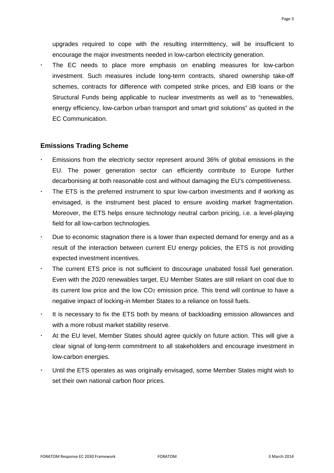upgrades required to cope with the resulting intermittency, will be insufficient to encourage the major investments needed in low-carbon electricity generation.

 The EC needs to place more emphasis on enabling measures for low-carbon investment. Such measures include long-term contracts, shared ownership take-off schemes, contracts for difference with competed strike prices, and EIB loans or the Structural Funds being applicable to nuclear investments as well as to "renewables, energy efficiency, low-carbon urban transport and smart grid solutions" as quoted in the EC Communication.

#### **Emissions Trading Scheme**

- Emissions from the electricity sector represent around 36% of global emissions in the EU. The power generation sector can efficiently contribute to Europe further decarbonising at both reasonable cost and without damaging the EU's competitiveness.
- The ETS is the preferred instrument to spur low-carbon investments and if working as envisaged, is the instrument best placed to ensure avoiding market fragmentation. Moreover, the ETS helps ensure technology neutral carbon pricing, i.e. a level-playing field for all low-carbon technologies.
- Due to economic stagnation there is a lower than expected demand for energy and as a result of the interaction between current EU energy policies, the ETS is not providing expected investment incentives.
- The current ETS price is not sufficient to discourage unabated fossil fuel generation. Even with the 2020 renewables target, EU Member States are still reliant on coal due to its current low price and the low CO<sub>2</sub> emission price. This trend will continue to have a negative impact of locking-in Member States to a reliance on fossil fuels.
- It is necessary to fix the ETS both by means of backloading emission allowances and with a more robust market stability reserve.
- At the EU level, Member States should agree quickly on future action. This will give a clear signal of long-term commitment to all stakeholders and encourage investment in low-carbon energies.
- Until the ETS operates as was originally envisaged, some Member States might wish to set their own national carbon floor prices.